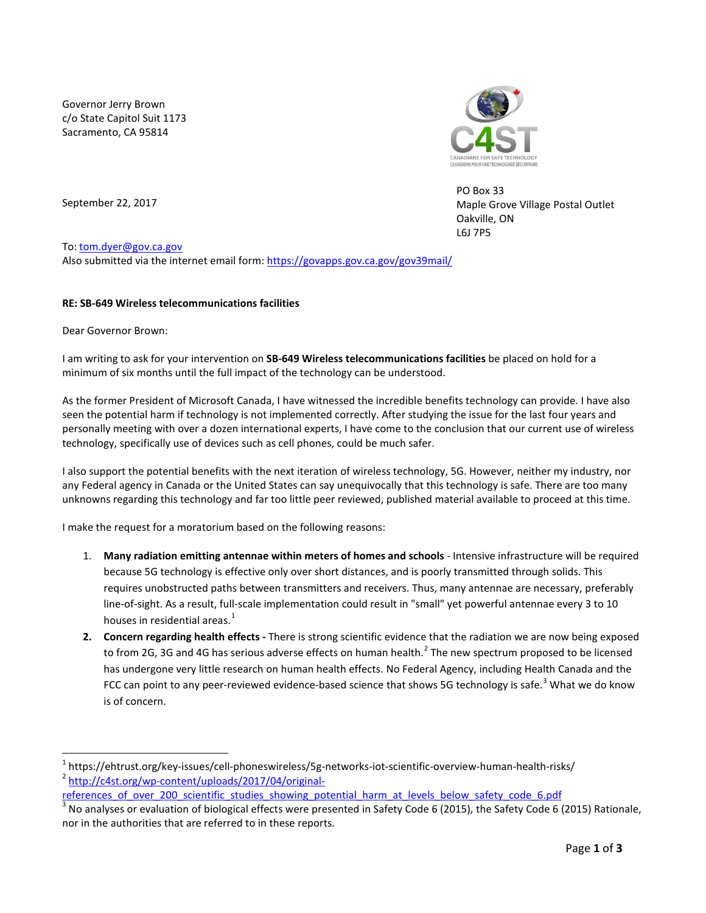Governor Jerry Brown c/o State Capitol Suit 1173 Sacramento, CA 95814



PO Box 33 Maple Grove Village Postal Outlet Oakville, ON L6J 7P5

September 22, 2017

To: [tom.dyer@gov.ca.gov](mailto:tom.dyer@gov.ca.gov)

Also submitted via the internet email form[: https://govapps.gov.ca.gov/gov39mail/](https://govapps.gov.ca.gov/gov39mail/)

## **RE: SB-649 Wireless telecommunications facilities**

Dear Governor Brown:

 $\overline{\phantom{a}}$ 

I am writing to ask for your intervention on **SB-649 Wireless telecommunications facilities** be placed on hold for a minimum of six months until the full impact of the technology can be understood.

As the former President of Microsoft Canada, I have witnessed the incredible benefits technology can provide. I have also seen the potential harm if technology is not implemented correctly. After studying the issue for the last four years and personally meeting with over a dozen international experts, I have come to the conclusion that our current use of wireless technology, specifically use of devices such as cell phones, could be much safer.

I also support the potential benefits with the next iteration of wireless technology, 5G. However, neither my industry, nor any Federal agency in Canada or the United States can say unequivocally that this technology is safe. There are too many unknowns regarding this technology and far too little peer reviewed, published material available to proceed at this time.

I make the request for a moratorium based on the following reasons:

- 1. **Many radiation emitting antennae within meters of homes and schools** Intensive infrastructure will be required because 5G technology is effective only over short distances, and is poorly transmitted through solids. This requires unobstructed paths between transmitters and receivers. Thus, many antennae are necessary, preferably line-of-sight. As a result, full-scale implementation could result in "small" yet powerful antennae every 3 to 10 houses in residential areas. $<sup>1</sup>$  $<sup>1</sup>$  $<sup>1</sup>$ </sup>
- **2. Concern regarding health effects -** There is strong scientific evidence that the radiation we are now being exposed to from [2](#page-0-1)G, 3G and 4G has serious adverse effects on human health.<sup>2</sup> The new spectrum proposed to be licensed has undergone very little research on human health effects. No Federal Agency, including Health Canada and the FCC can point to any peer-reviewed evidence-based science that shows 5G technology is safe.<sup>[3](#page-0-2)</sup> What we do know is of concern.

<span id="page-0-1"></span><span id="page-0-0"></span><sup>&</sup>lt;sup>1</sup> https://ehtrust.org/key-issues/cell-phoneswireless/5g-networks-iot-scientific-overview-human-health-risks/<br><sup>2</sup> [http://c4st.org/wp-content/uploads/2017/04/original-](http://c4st.org/wp-content/uploads/2017/04/original-references_of_over_200_scientific_studies_showing_potential_harm_at_levels_below_safety_code_6.pdf)

[references\\_of\\_over\\_200\\_scientific\\_studies\\_showing\\_potential\\_harm\\_at\\_levels\\_below\\_safety\\_code\\_6.pdf](http://c4st.org/wp-content/uploads/2017/04/original-references_of_over_200_scientific_studies_showing_potential_harm_at_levels_below_safety_code_6.pdf)

<span id="page-0-2"></span><sup>3</sup> No analyses or evaluation of biological effects were presented in Safety Code 6 (2015), the Safety Code 6 (2015) Rationale, nor in the authorities that are referred to in these reports.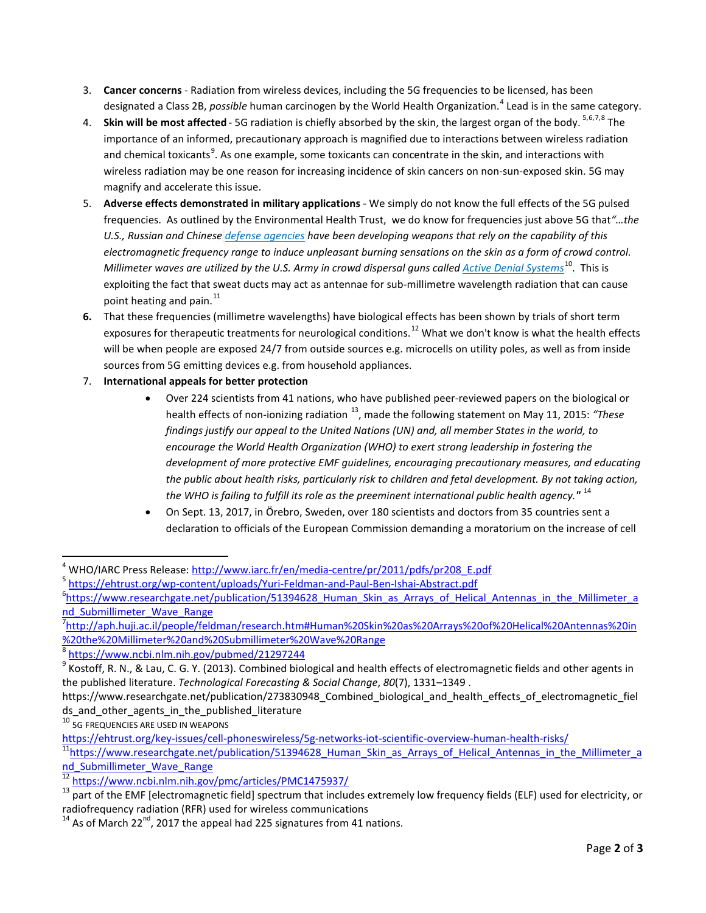- 3. **Cancer concerns** Radiation from wireless devices, including the 5G frequencies to be licensed, has been designated a Class 2B, *possible* human carcinogen by the World Health Organization.[4](#page-1-0) Lead is in the same category.
- 4. **Skin will be most affected** 5G radiation is chiefly absorbed by the skin, the largest organ of the body. <sup>[5,](#page-1-1)[6](#page-1-2),[7,](#page-1-3)[8](#page-1-4)</sup> The importance of an informed, precautionary approach is magnified due to interactions between wireless radiation and chemical toxicants<sup>[9](#page-1-5)</sup>. As one example, some toxicants can concentrate in the skin, and interactions with wireless radiation may be one reason for increasing incidence of skin cancers on non-sun-exposed skin. 5G may magnify and accelerate this issue.
- 5. **Adverse effects demonstrated in military applications** We simply do not know the full effects of the 5G pulsed frequencies. As outlined by the Environmental Health Trust, we do know for frequencies just above 5G that*"…the U.S., Russian and Chinese [defense agencies](http://jnlwp.defense.gov/Portals/50/Documents/Future_Non-Lethal_Weapons/HEAP.pdf) have been developing weapons that rely on the capability of this electromagnetic frequency range to induce unpleasant burning sensations on the skin as a form of crowd control. Millimeter waves are utilized by the U.S. Army in crowd dispersal guns calle[d Active Denial Systems](http://jnlwp.defense.gov/About/Frequently-Asked-Questions/Active-Denial-System-FAQs/)*<sup>[10](#page-1-6)</sup>. This is exploiting the fact that sweat ducts may act as antennae for sub-millimetre wavelength radiation that can cause point heating and pain. $^{11}$  $^{11}$  $^{11}$
- **6.** That these frequencies (millimetre wavelengths) have biological effects has been shown by trials of short term exposures for therapeutic treatments for neurological conditions.<sup>[12](#page-1-8)</sup> What we don't know is what the health effects will be when people are exposed 24/7 from outside sources e.g. microcells on utility poles, as well as from inside sources from 5G emitting devices e.g. from household appliances.
- 7. **International appeals for better protection**
	- Over 224 scientists from 41 nations, who have published peer-reviewed papers on the biological or health effects of non-ionizing radiation [13](#page-1-9), made the following statement on May 11, 2015: *"These findings justify our appeal to the United Nations (UN) and, all member States in the world, to encourage the World Health Organization (WHO) to exert strong leadership in fostering the development of more protective EMF guidelines, encouraging precautionary measures, and educating the public about health risks, particularly risk to children and fetal development. By not taking action, the WHO is failing to fulfill its role as the preeminent international public health agency."* [14](#page-1-10)
	- On Sept. 13, 2017, in Örebro, Sweden, over 180 scientists and doctors from 35 countries sent a declaration to officials of the European Commission demanding a moratorium on the increase of cell

l

<span id="page-1-1"></span><span id="page-1-0"></span><sup>&</sup>lt;sup>4</sup> WHO/IARC Press Release[: http://www.iarc.fr/en/media-centre/pr/2011/pdfs/pr208\\_E.pdf](http://www.iarc.fr/en/media-centre/pr/2011/pdfs/pr208_E.pdf)<br><sup>5</sup> <https://ehtrust.org/wp-content/uploads/Yuri-Feldman-and-Paul-Ben-Ishai-Abstract.pdf>

<span id="page-1-2"></span><sup>&</sup>lt;sup>6</sup>https://www.researchgate.net/publication/51394628 Human\_Skin\_as\_Arrays\_of\_Helical\_Antennas\_in\_the\_Millimeter\_a [nd\\_Submillimeter\\_Wave\\_Range](https://www.researchgate.net/publication/51394628_Human_Skin_as_Arrays_of_Helical_Antennas_in_the_Millimeter_and_Submillimeter_Wave_Range)

<span id="page-1-3"></span><sup>7</sup> [http://aph.huji.ac.il/people/feldman/research.htm#Human%20Skin%20as%20Arrays%20of%20Helical%20Antennas%20in](http://aph.huji.ac.il/people/feldman/research.htm%23Human%20Skin%20as%20Arrays%20of%20Helical%20Antennas%20in%20the%20Millimeter%20and%20Submillimeter%20Wave%20Range) [%20the%20Millimeter%20and%20Submillimeter%20Wave%20Range](http://aph.huji.ac.il/people/feldman/research.htm%23Human%20Skin%20as%20Arrays%20of%20Helical%20Antennas%20in%20the%20Millimeter%20and%20Submillimeter%20Wave%20Range)

<span id="page-1-4"></span><sup>8</sup> <https://www.ncbi.nlm.nih.gov/pubmed/21297244>

<span id="page-1-5"></span> $9$  Kostoff, R. N., & Lau, C. G. Y. (2013). Combined biological and health effects of electromagnetic fields and other agents in the published literature. *Technological Forecasting & Social Change*, *80*(7), 1331–1349 .

https://www.researchgate.net/publication/273830948\_Combined\_biological\_and\_health\_effects\_of\_electromagnetic\_fiel ds\_and\_other\_agents\_in\_the\_published\_literature

<span id="page-1-6"></span><sup>10 5</sup>G FREQUENCIES ARE USED IN WEAPONS

<span id="page-1-7"></span><https://ehtrust.org/key-issues/cell-phoneswireless/5g-networks-iot-scientific-overview-human-health-risks/><br><sup>11</sup>https://www.researchgate.net/publication/51394628\_Human\_Skin\_as\_Arrays\_of\_Helical\_Antennas\_in\_the\_Millimeter\_a

nd Submillimeter Wave Range<br>
<sup>12</sup> https://www.ncbi.nlm.nih.gov/pmc/articles/PMC1475937/

<span id="page-1-9"></span><span id="page-1-8"></span> $13$  part of the EMF [electromagnetic field] spectrum that includes extremely low frequency fields (ELF) used for electricity, or radiofrequency radiation (RFR) used for wireless communications

<span id="page-1-10"></span><sup>&</sup>lt;sup>14</sup> As of March 22<sup>nd</sup>, 2017 the appeal had 225 signatures from 41 nations.